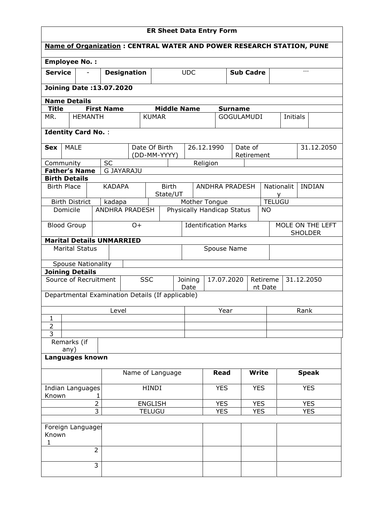| <b>ER Sheet Data Entry Form</b>                                       |                                  |                   |                   |              |                                                      |            |                            |                          |              |                                     |                       |      |                         |       |               |
|-----------------------------------------------------------------------|----------------------------------|-------------------|-------------------|--------------|------------------------------------------------------|------------|----------------------------|--------------------------|--------------|-------------------------------------|-----------------------|------|-------------------------|-------|---------------|
| Name of Organization : CENTRAL WATER AND POWER RESEARCH STATION, PUNE |                                  |                   |                   |              |                                                      |            |                            |                          |              |                                     |                       |      |                         |       |               |
| <b>Employee No.:</b>                                                  |                                  |                   |                   |              |                                                      |            |                            |                          |              |                                     |                       |      |                         |       |               |
| <b>Service</b>                                                        | <b>Designation</b>               |                   |                   |              |                                                      |            | <b>UDC</b>                 |                          |              | <b>Sub Cadre</b>                    |                       |      |                         | $---$ |               |
| <b>Joining Date:13.07.2020</b>                                        |                                  |                   |                   |              |                                                      |            |                            |                          |              |                                     |                       |      |                         |       |               |
| <b>Name Details</b>                                                   |                                  |                   |                   |              |                                                      |            |                            |                          |              |                                     |                       |      |                         |       |               |
| <b>Title</b><br>MR.                                                   | <b>HEMANTH</b>                   | <b>First Name</b> |                   | <b>KUMAR</b> | <b>Middle Name</b>                                   |            |                            |                          |              | <b>Surname</b><br><b>GOGULAMUDI</b> |                       |      | Initials                |       |               |
|                                                                       |                                  |                   |                   |              |                                                      |            |                            |                          |              |                                     |                       |      |                         |       |               |
| <b>Identity Card No.:</b>                                             |                                  |                   |                   |              |                                                      |            |                            |                          |              |                                     |                       |      |                         |       |               |
| <b>MALE</b><br><b>Sex</b>                                             |                                  |                   |                   |              | Date Of Birth<br>(DD-MM-YYYY)                        |            | 26.12.1990                 |                          |              |                                     | Date of<br>Retirement |      |                         |       | 31.12.2050    |
| Community                                                             |                                  | <b>SC</b>         |                   |              |                                                      |            |                            | Religion                 |              |                                     |                       |      |                         |       |               |
| <b>Father's Name</b>                                                  |                                  |                   | <b>G JAYARAJU</b> |              |                                                      |            |                            |                          |              |                                     |                       |      |                         |       |               |
| <b>Birth Details</b>                                                  |                                  |                   |                   |              |                                                      |            |                            |                          |              |                                     |                       |      |                         |       |               |
| <b>Birth Place</b>                                                    |                                  |                   | <b>KADAPA</b>     |              | <b>Birth</b><br>State/UT                             |            |                            |                          |              | <b>ANDHRA PRADESH</b>               |                       |      | <b>Nationalit</b><br>Y. |       | <b>INDIAN</b> |
| <b>Birth District</b>                                                 |                                  |                   | kadapa            |              |                                                      |            | Mother Tongue              |                          |              |                                     |                       |      | <b>TELUGU</b>           |       |               |
| Domicile                                                              |                                  |                   | ANDHRA PRADESH    |              |                                                      |            | Physically Handicap Status |                          |              |                                     |                       | ΝO   |                         |       |               |
| <b>Blood Group</b><br>$O +$                                           |                                  |                   |                   |              | <b>Identification Marks</b>                          |            |                            |                          |              | MOLE ON THE LEFT<br><b>SHOLDER</b>  |                       |      |                         |       |               |
|                                                                       | <b>Marital Details UNMARRIED</b> |                   |                   |              |                                                      |            |                            |                          |              |                                     |                       |      |                         |       |               |
| <b>Marital Status</b>                                                 |                                  |                   |                   | Spouse Name  |                                                      |            |                            |                          |              |                                     |                       |      |                         |       |               |
| <b>Spouse Nationality</b>                                             |                                  |                   |                   |              |                                                      |            |                            |                          |              |                                     |                       |      |                         |       |               |
| <b>Joining Details</b>                                                |                                  |                   |                   |              |                                                      |            |                            |                          |              |                                     |                       |      |                         |       |               |
| Source of Recruitment                                                 |                                  |                   |                   | <b>SSC</b>   | 17.07.2020<br>Joining<br>Retireme<br>Date<br>nt Date |            |                            |                          | 31.12.2050   |                                     |                       |      |                         |       |               |
| Departmental Examination Details (If applicable)                      |                                  |                   |                   |              |                                                      |            |                            |                          |              |                                     |                       |      |                         |       |               |
|                                                                       |                                  |                   | Level             |              |                                                      |            | Year                       |                          |              |                                     |                       | Rank |                         |       |               |
| $\mathbf{1}$<br>$\mathbf 2$                                           |                                  |                   |                   |              |                                                      |            |                            |                          |              |                                     |                       |      |                         |       |               |
| $\overline{3}$                                                        |                                  |                   |                   |              |                                                      |            |                            |                          |              |                                     |                       |      |                         |       |               |
| Remarks (if                                                           |                                  |                   |                   |              |                                                      |            |                            |                          |              |                                     |                       |      |                         |       |               |
| any)<br>Languages known                                               |                                  |                   |                   |              |                                                      |            |                            |                          |              |                                     |                       |      |                         |       |               |
| Name of Language                                                      |                                  |                   |                   |              |                                                      |            | <b>Read</b>                |                          | <b>Write</b> |                                     | <b>Speak</b>          |      |                         |       |               |
| Indian Languages<br>Known<br>1                                        |                                  |                   |                   | <b>HINDI</b> |                                                      |            |                            | <b>YES</b><br><b>YES</b> |              |                                     | <b>YES</b>            |      |                         |       |               |
| $\overline{2}$<br><b>ENGLISH</b>                                      |                                  |                   |                   |              | <b>YES</b>                                           | <b>YES</b> |                            |                          | <b>YES</b>   |                                     |                       |      |                         |       |               |
| 3<br><b>TELUGU</b>                                                    |                                  |                   |                   |              |                                                      |            | <b>YES</b>                 |                          | <b>YES</b>   |                                     |                       |      | <b>YES</b>              |       |               |
| Foreign Languages<br>Known                                            |                                  |                   |                   |              |                                                      |            |                            |                          |              |                                     |                       |      |                         |       |               |
| 1                                                                     |                                  | $\overline{2}$    |                   |              |                                                      |            |                            |                          |              |                                     |                       |      |                         |       |               |
|                                                                       |                                  | 3                 |                   |              |                                                      |            |                            |                          |              |                                     |                       |      |                         |       |               |
|                                                                       |                                  |                   |                   |              |                                                      |            |                            |                          |              |                                     |                       |      |                         |       |               |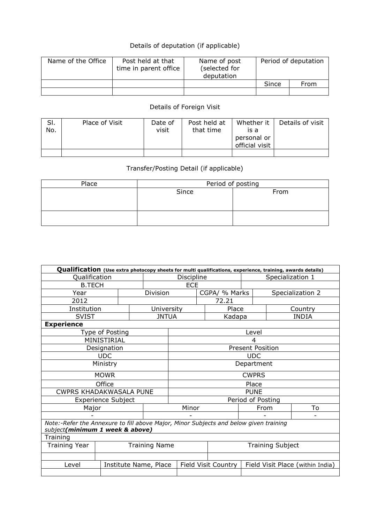## Details of deputation (if applicable)

| Name of the Office | Post held at that<br>time in parent office | Name of post<br>(selected for<br>deputation | Period of deputation |      |  |
|--------------------|--------------------------------------------|---------------------------------------------|----------------------|------|--|
|                    |                                            |                                             | Since                | From |  |
|                    |                                            |                                             |                      |      |  |

## Details of Foreign Visit

| SI.<br>No. | Place of Visit | Date of<br>visit | Post held at<br>that time | Whether it<br>is a<br>personal or<br>official visit | Details of visit |
|------------|----------------|------------------|---------------------------|-----------------------------------------------------|------------------|
|            |                |                  |                           |                                                     |                  |

## Transfer/Posting Detail (if applicable)

| Place | Period of posting |      |  |  |  |  |
|-------|-------------------|------|--|--|--|--|
|       | Since             | From |  |  |  |  |
|       |                   |      |  |  |  |  |
|       |                   |      |  |  |  |  |
|       |                   |      |  |  |  |  |
|       |                   |      |  |  |  |  |

| Qualification (Use extra photocopy sheets for multi qualifications, experience, training, awards details)                |                           |                       |              |                         |  |                            |                         |         |                                  |  |
|--------------------------------------------------------------------------------------------------------------------------|---------------------------|-----------------------|--------------|-------------------------|--|----------------------------|-------------------------|---------|----------------------------------|--|
| Qualification                                                                                                            |                           |                       | Discipline   |                         |  |                            | Specialization 1        |         |                                  |  |
| <b>B.TECH</b>                                                                                                            |                           |                       | <b>ECE</b>   |                         |  |                            |                         |         |                                  |  |
| Year                                                                                                                     |                           | Division              |              |                         |  | CGPA/ % Marks              | Specialization 2        |         |                                  |  |
| 2012                                                                                                                     |                           |                       |              |                         |  | 72.21                      |                         |         |                                  |  |
| Institution                                                                                                              |                           |                       | University   |                         |  | Place                      |                         | Country |                                  |  |
| <b>SVIST</b>                                                                                                             |                           |                       | <b>JNTUA</b> |                         |  | Kadapa                     |                         |         | <b>INDIA</b>                     |  |
| <b>Experience</b>                                                                                                        |                           |                       |              |                         |  |                            |                         |         |                                  |  |
|                                                                                                                          | Type of Posting           |                       |              |                         |  |                            | Level                   |         |                                  |  |
|                                                                                                                          | MINISTIRIAL               |                       |              |                         |  |                            | 4                       |         |                                  |  |
|                                                                                                                          | Designation               |                       |              |                         |  |                            | <b>Present Position</b> |         |                                  |  |
|                                                                                                                          | <b>UDC</b>                |                       |              | <b>UDC</b>              |  |                            |                         |         |                                  |  |
|                                                                                                                          | Ministry                  |                       |              | Department              |  |                            |                         |         |                                  |  |
|                                                                                                                          | <b>MOWR</b>               |                       |              | <b>CWPRS</b>            |  |                            |                         |         |                                  |  |
|                                                                                                                          | Office                    |                       |              | Place                   |  |                            |                         |         |                                  |  |
| <b>CWPRS KHADAKWASALA PUNE</b>                                                                                           |                           |                       |              | <b>PUNE</b>             |  |                            |                         |         |                                  |  |
|                                                                                                                          | <b>Experience Subject</b> |                       |              | Period of Posting       |  |                            |                         |         |                                  |  |
| Major                                                                                                                    |                           |                       |              | Minor                   |  |                            | From                    |         | To                               |  |
|                                                                                                                          |                           |                       |              |                         |  |                            |                         |         |                                  |  |
| Note:-Refer the Annexure to fill above Major, Minor Subjects and below given training<br>subject(minimum 1 week & above) |                           |                       |              |                         |  |                            |                         |         |                                  |  |
| Training                                                                                                                 |                           |                       |              |                         |  |                            |                         |         |                                  |  |
| <b>Training Name</b><br>Training Year                                                                                    |                           |                       |              | <b>Training Subject</b> |  |                            |                         |         |                                  |  |
|                                                                                                                          |                           |                       |              |                         |  |                            |                         |         |                                  |  |
| Level                                                                                                                    |                           | Institute Name, Place |              |                         |  | <b>Field Visit Country</b> |                         |         | Field Visit Place (within India) |  |
|                                                                                                                          |                           |                       |              |                         |  |                            |                         |         |                                  |  |